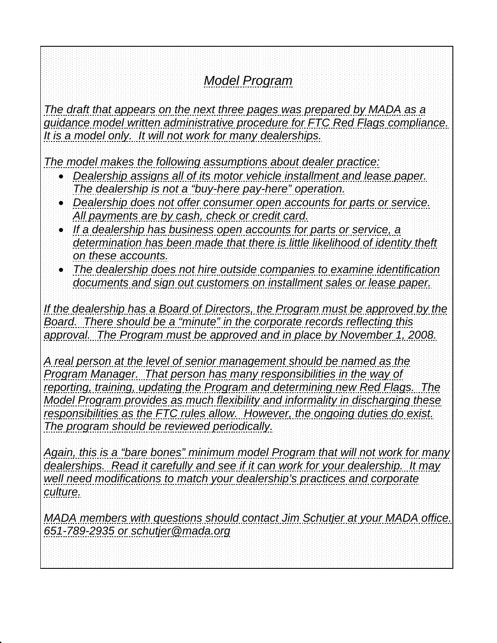# *Model Program*

The draft that appears on the next three pages was prepared by MADA as a *guidance model written administrative procedure for FTC Red Flags compliance. It is a model only. It will not work for many dealerships.* 

*The model makes the following assumptions about dealer practice:*

- *Dealership assigns all of its motor vehicle installment and lease paper. The dealership is not a "buy-here pay-here" operation.*
- *Dealership does not offer consumer open accounts for parts or service. All payments are by cash, check or credit card.*
- *If a dealership has business open accounts for parts or service, a*  determination has been made that there is little likelihood of identity theft *on these accounts.*
- *The dealership does not hire outside companies to examine identification documents and sign out customers on installment sales or lease paper.*

If the dealership has a Board of Directors, the Program must be approved by the *Board. There should be a "minute" in the corporate records reflecting this approval. The Program must be approved and in place by November 1, 2008.*

*A real person at the level of senior management should be named as the Program Manager. That person has many responsibilities in the way of reporting, training, updating the Program and determining new Red Flags. The Model Program provides as much flexibility and informality in discharging these responsibilities as the FTC rules allow. However, the ongoing duties do exist. The program should be reviewed periodically.*

*Again, this is a "bare bones" minimum model Program that will not work for many dealerships. Read it carefully and see if it can work for your dealership. It may well need modifications to match your dealership's practices and corporate culture.*

*MADA members with questions should contact Jim Schutjer at your MADA office. 651-789-2935 or schutjer@mada.org*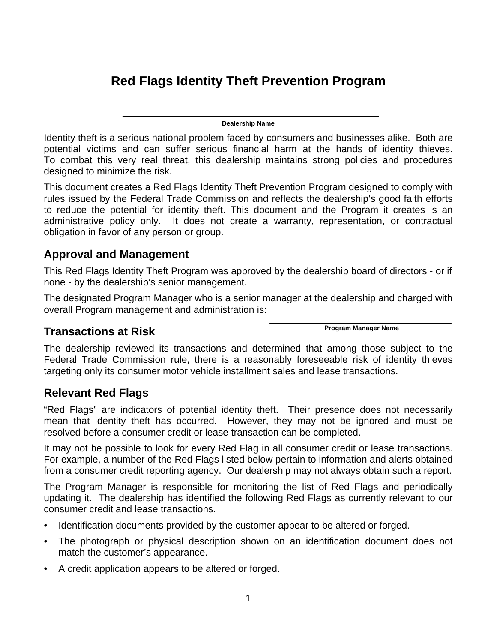# **Red Flags Identity Theft Prevention Program**

**Dealership Name** 

Identity theft is a serious national problem faced by consumers and businesses alike. Both are potential victims and can suffer serious financial harm at the hands of identity thieves. To combat this very real threat, this dealership maintains strong policies and procedures designed to minimize the risk.

This document creates a Red Flags Identity Theft Prevention Program designed to comply with rules issued by the Federal Trade Commission and reflects the dealership's good faith efforts to reduce the potential for identity theft. This document and the Program it creates is an administrative policy only. It does not create a warranty, representation, or contractual obligation in favor of any person or group.

#### **Approval and Management**

This Red Flags Identity Theft Program was approved by the dealership board of directors - or if none - by the dealership's senior management.

The designated Program Manager who is a senior manager at the dealership and charged with overall Program management and administration is:

## **Program Manager Name Transactions at Risk**

The dealership reviewed its transactions and determined that among those subject to the Federal Trade Commission rule, there is a reasonably foreseeable risk of identity thieves targeting only its consumer motor vehicle installment sales and lease transactions.

#### **Relevant Red Flags**

"Red Flags" are indicators of potential identity theft. Their presence does not necessarily mean that identity theft has occurred. However, they may not be ignored and must be resolved before a consumer credit or lease transaction can be completed.

It may not be possible to look for every Red Flag in all consumer credit or lease transactions. For example, a number of the Red Flags listed below pertain to information and alerts obtained from a consumer credit reporting agency. Our dealership may not always obtain such a report.

The Program Manager is responsible for monitoring the list of Red Flags and periodically updating it. The dealership has identified the following Red Flags as currently relevant to our consumer credit and lease transactions.

- Identification documents provided by the customer appear to be altered or forged.
- The photograph or physical description shown on an identification document does not match the customer's appearance.
- A credit application appears to be altered or forged.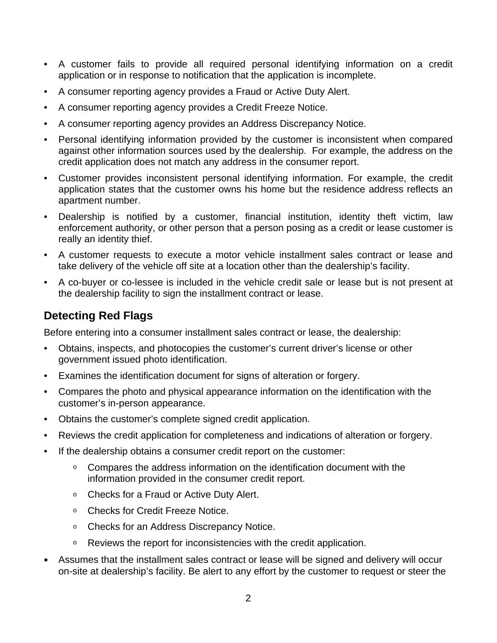- A customer fails to provide all required personal identifying information on a credit application or in response to notification that the application is incomplete.
- A consumer reporting agency provides a Fraud or Active Duty Alert.
- A consumer reporting agency provides a Credit Freeze Notice.
- A consumer reporting agency provides an Address Discrepancy Notice.
- Personal identifying information provided by the customer is inconsistent when compared against other information sources used by the dealership. For example, the address on the credit application does not match any address in the consumer report.
- Customer provides inconsistent personal identifying information. For example, the credit application states that the customer owns his home but the residence address reflects an apartment number.
- Dealership is notified by a customer, financial institution, identity theft victim, law enforcement authority, or other person that a person posing as a credit or lease customer is really an identity thief.
- A customer requests to execute a motor vehicle installment sales contract or lease and take delivery of the vehicle off site at a location other than the dealership's facility.
- A co-buyer or co-lessee is included in the vehicle credit sale or lease but is not present at the dealership facility to sign the installment contract or lease.

#### **Detecting Red Flags**

Before entering into a consumer installment sales contract or lease, the dealership:

- Obtains, inspects, and photocopies the customer's current driver's license or other government issued photo identification.
- Examines the identification document for signs of alteration or forgery.
- Compares the photo and physical appearance information on the identification with the customer's in-person appearance.
- Obtains the customer's complete signed credit application.
- Reviews the credit application for completeness and indications of alteration or forgery.
- If the dealership obtains a consumer credit report on the customer:
	- Compares the address information on the identification document with the information provided in the consumer credit report.
	- Checks for a Fraud or Active Duty Alert.
	- <sup>o</sup> Checks for Credit Freeze Notice.
	- Checks for an Address Discrepancy Notice.
	- Reviews the report for inconsistencies with the credit application.
- Assumes that the installment sales contract or lease will be signed and delivery will occur on-site at dealership's facility. Be alert to any effort by the customer to request or steer the